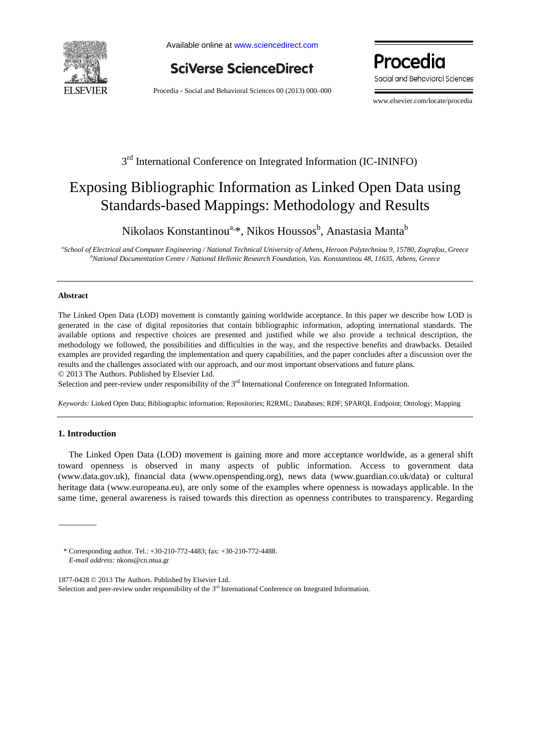

Available online at www.sciencedirect.com



Procedia - Social and Behavioral Sciences 00 (2013) 000–000

Procedia Social and Behavioral Sciences

www.elsevier.com/locate/procedia

# $3<sup>rd</sup>$  International Conference on Integrated Information (IC-ININFO)

# Exposing Bibliographic Information as Linked Open Data using Standards-based Mappings: Methodology and Results

Nikolaos Konstantinou<sup>a,</sup>\*, Nikos Houssos<sup>b</sup>, Anastasia Manta<sup>b</sup>

*a School of Electrical and Computer Engineering / National Technical University of Athens, Heroon Polytechniou 9, 15780, Zografou, Greece <sup>b</sup>National Documentation Centre / National Hellenic Research Foundation, Vas. Konstantinou 48, 11635, Athens, Greece* 

# **Abstract**

The Linked Open Data (LOD) movement is constantly gaining worldwide acceptance. In this paper we describe how LOD is generated in the case of digital repositories that contain bibliographic information, adopting international standards. The available options and respective choices are presented and justified while we also provide a technical description, the methodology we followed, the possibilities and difficulties in the way, and the respective benefits and drawbacks. Detailed examples are provided regarding the implementation and query capabilities, and the paper concludes after a discussion over the results and the challenges associated with our approach, and our most important observations and future plans. © 2013 The Authors. Published by Elsevier Ltd.

Selection and peer-review under responsibility of the 3<sup>rd</sup> International Conference on Integrated Information.

*Keywords:* Linked Open Data; Bibliographic information; Repositories; R2RML; Databases; RDF; SPARQL Endpoint; Ontology; Mapping

# **1. Introduction**

The Linked Open Data (LOD) movement is gaining more and more acceptance worldwide, as a general shift toward openness is observed in many aspects of public information. Access to government data (www.data.gov.uk), financial data (www.openspending.org), news data (www.guardian.co.uk/data) or cultural heritage data (www.europeana.eu), are only some of the examples where openness is nowadays applicable. In the same time, general awareness is raised towards this direction as openness contributes to transparency. Regarding

<sup>\*</sup> Corresponding author. Tel.: +30-210-772-4483; fax: +30-210-772-4488. *E-mail address:* nkons@cn.ntua.gr

<sup>1877-0428 © 2013</sup> The Authors. Published by Elsevier Ltd. Selection and peer-review under responsibility of the  $3<sup>rd</sup>$  International Conference on Integrated Information.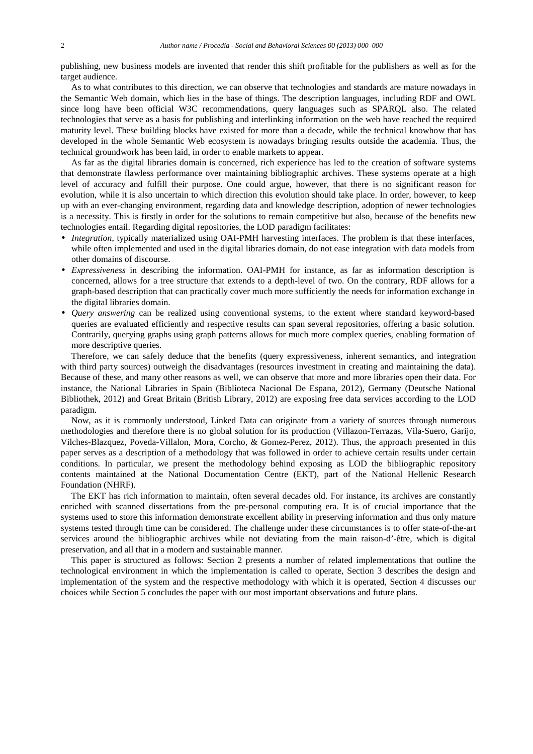publishing, new business models are invented that render this shift profitable for the publishers as well as for the target audience.

As to what contributes to this direction, we can observe that technologies and standards are mature nowadays in the Semantic Web domain, which lies in the base of things. The description languages, including RDF and OWL since long have been official W3C recommendations, query languages such as SPARQL also. The related technologies that serve as a basis for publishing and interlinking information on the web have reached the required maturity level. These building blocks have existed for more than a decade, while the technical knowhow that has developed in the whole Semantic Web ecosystem is nowadays bringing results outside the academia. Thus, the technical groundwork has been laid, in order to enable markets to appear.

As far as the digital libraries domain is concerned, rich experience has led to the creation of software systems that demonstrate flawless performance over maintaining bibliographic archives. These systems operate at a high level of accuracy and fulfill their purpose. One could argue, however, that there is no significant reason for evolution, while it is also uncertain to which direction this evolution should take place. In order, however, to keep up with an ever-changing environment, regarding data and knowledge description, adoption of newer technologies is a necessity. This is firstly in order for the solutions to remain competitive but also, because of the benefits new technologies entail. Regarding digital repositories, the LOD paradigm facilitates:

- *Integration*, typically materialized using OAI-PMH harvesting interfaces. The problem is that these interfaces, while often implemented and used in the digital libraries domain, do not ease integration with data models from other domains of discourse.
- *Expressiveness* in describing the information. OAI-PMH for instance, as far as information description is concerned, allows for a tree structure that extends to a depth-level of two. On the contrary, RDF allows for a graph-based description that can practically cover much more sufficiently the needs for information exchange in the digital libraries domain.
- *Query answering* can be realized using conventional systems, to the extent where standard keyword-based queries are evaluated efficiently and respective results can span several repositories, offering a basic solution. Contrarily, querying graphs using graph patterns allows for much more complex queries, enabling formation of more descriptive queries.

Therefore, we can safely deduce that the benefits (query expressiveness, inherent semantics, and integration with third party sources) outweigh the disadvantages (resources investment in creating and maintaining the data). Because of these, and many other reasons as well, we can observe that more and more libraries open their data. For instance, the National Libraries in Spain (Biblioteca Nacional De Espana, 2012), Germany (Deutsche National Bibliothek, 2012) and Great Britain (British Library, 2012) are exposing free data services according to the LOD paradigm.

Now, as it is commonly understood, Linked Data can originate from a variety of sources through numerous methodologies and therefore there is no global solution for its production (Villazon-Terrazas, Vila-Suero, Garijo, Vilches-Blazquez, Poveda-Villalon, Mora, Corcho, & Gomez-Perez, 2012). Thus, the approach presented in this paper serves as a description of a methodology that was followed in order to achieve certain results under certain conditions. In particular, we present the methodology behind exposing as LOD the bibliographic repository contents maintained at the National Documentation Centre (EKT), part of the National Hellenic Research Foundation (NHRF).

The EKT has rich information to maintain, often several decades old. For instance, its archives are constantly enriched with scanned dissertations from the pre-personal computing era. It is of crucial importance that the systems used to store this information demonstrate excellent ability in preserving information and thus only mature systems tested through time can be considered. The challenge under these circumstances is to offer state-of-the-art services around the bibliographic archives while not deviating from the main raison-d'-être, which is digital preservation, and all that in a modern and sustainable manner.

This paper is structured as follows: Section 2 presents a number of related implementations that outline the technological environment in which the implementation is called to operate, Section 3 describes the design and implementation of the system and the respective methodology with which it is operated, Section 4 discusses our choices while Section 5 concludes the paper with our most important observations and future plans.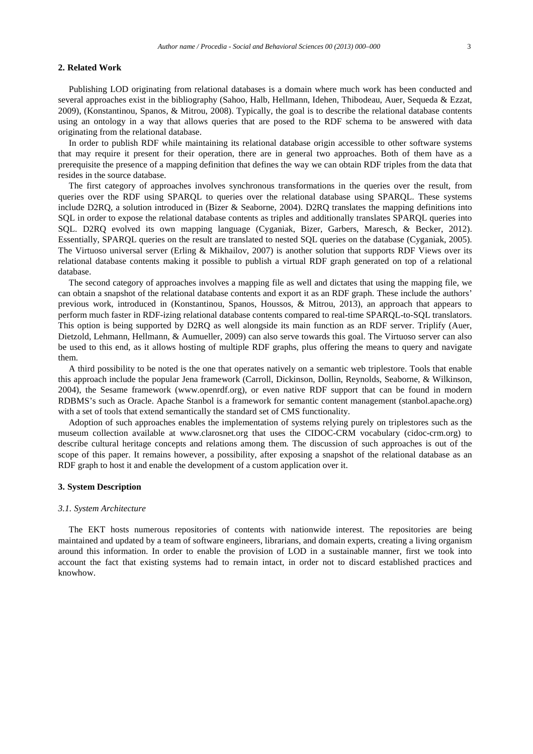# **2. Related Work**

Publishing LOD originating from relational databases is a domain where much work has been conducted and several approaches exist in the bibliography (Sahoo, Halb, Hellmann, Idehen, Thibodeau, Auer, Sequeda & Ezzat, 2009), (Konstantinou, Spanos, & Mitrou, 2008). Typically, the goal is to describe the relational database contents using an ontology in a way that allows queries that are posed to the RDF schema to be answered with data originating from the relational database.

In order to publish RDF while maintaining its relational database origin accessible to other software systems that may require it present for their operation, there are in general two approaches. Both of them have as a prerequisite the presence of a mapping definition that defines the way we can obtain RDF triples from the data that resides in the source database.

The first category of approaches involves synchronous transformations in the queries over the result, from queries over the RDF using SPARQL to queries over the relational database using SPARQL. These systems include D2RQ, a solution introduced in (Bizer & Seaborne, 2004). D2RQ translates the mapping definitions into SQL in order to expose the relational database contents as triples and additionally translates SPARQL queries into SQL. D2RQ evolved its own mapping language (Cyganiak, Bizer, Garbers, Maresch, & Becker, 2012). Essentially, SPARQL queries on the result are translated to nested SQL queries on the database (Cyganiak, 2005). The Virtuoso universal server (Erling & Mikhailov, 2007) is another solution that supports RDF Views over its relational database contents making it possible to publish a virtual RDF graph generated on top of a relational database.

The second category of approaches involves a mapping file as well and dictates that using the mapping file, we can obtain a snapshot of the relational database contents and export it as an RDF graph. These include the authors' previous work, introduced in (Konstantinou, Spanos, Houssos, & Mitrou, 2013), an approach that appears to perform much faster in RDF-izing relational database contents compared to real-time SPARQL-to-SQL translators. This option is being supported by D2RQ as well alongside its main function as an RDF server. Triplify (Auer, Dietzold, Lehmann, Hellmann, & Aumueller, 2009) can also serve towards this goal. The Virtuoso server can also be used to this end, as it allows hosting of multiple RDF graphs, plus offering the means to query and navigate them.

A third possibility to be noted is the one that operates natively on a semantic web triplestore. Tools that enable this approach include the popular Jena framework (Carroll, Dickinson, Dollin, Reynolds, Seaborne, & Wilkinson, 2004), the Sesame framework (www.openrdf.org), or even native RDF support that can be found in modern RDBMS's such as Oracle. Apache Stanbol is a framework for semantic content management (stanbol.apache.org) with a set of tools that extend semantically the standard set of CMS functionality.

Adoption of such approaches enables the implementation of systems relying purely on triplestores such as the museum collection available at www.clarosnet.org that uses the CIDOC-CRM vocabulary (cidoc-crm.org) to describe cultural heritage concepts and relations among them. The discussion of such approaches is out of the scope of this paper. It remains however, a possibility, after exposing a snapshot of the relational database as an RDF graph to host it and enable the development of a custom application over it.

## **3. System Description**

## *3.1. System Architecture*

The EKT hosts numerous repositories of contents with nationwide interest. The repositories are being maintained and updated by a team of software engineers, librarians, and domain experts, creating a living organism around this information. In order to enable the provision of LOD in a sustainable manner, first we took into account the fact that existing systems had to remain intact, in order not to discard established practices and knowhow.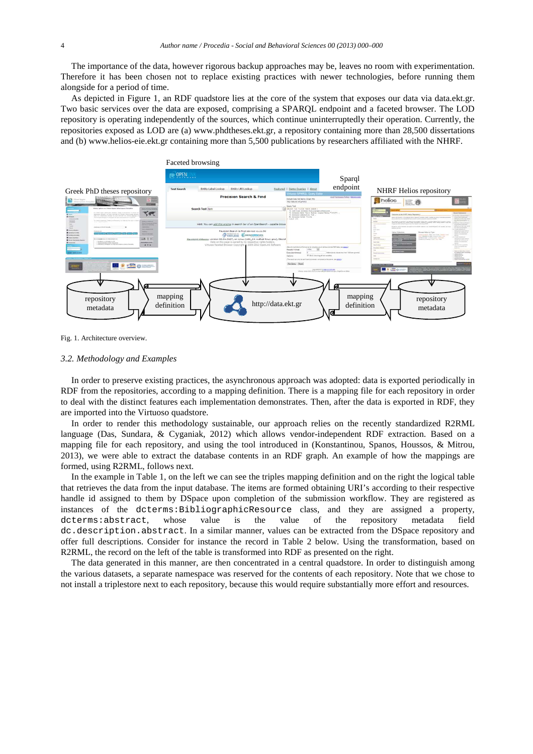The importance of the data, however rigorous backup approaches may be, leaves no room with experimentation. Therefore it has been chosen not to replace existing practices with newer technologies, before running them alongside for a period of time.

As depicted in Figure 1, an RDF quadstore lies at the core of the system that exposes our data via data.ekt.gr. Two basic services over the data are exposed, comprising a SPARQL endpoint and a faceted browser. The LOD repository is operating independently of the sources, which continue uninterruptedly their operation. Currently, the repositories exposed as LOD are (a) www.phdtheses.ekt.gr, a repository containing more than 28,500 dissertations and (b) www.helios-eie.ekt.gr containing more than 5,500 publications by researchers affiliated with the NHRF.



#### Fig. 1. Architecture overview.

# *3.2. Methodology and Examples*

In order to preserve existing practices, the asynchronous approach was adopted: data is exported periodically in RDF from the repositories, according to a mapping definition. There is a mapping file for each repository in order to deal with the distinct features each implementation demonstrates. Then, after the data is exported in RDF, they are imported into the Virtuoso quadstore.

In order to render this methodology sustainable, our approach relies on the recently standardized R2RML language (Das, Sundara, & Cyganiak, 2012) which allows vendor-independent RDF extraction. Based on a mapping file for each repository, and using the tool introduced in (Konstantinou, Spanos, Houssos, & Mitrou, 2013), we were able to extract the database contents in an RDF graph. An example of how the mappings are formed, using R2RML, follows next.

In the example in Table 1, on the left we can see the triples mapping definition and on the right the logical table that retrieves the data from the input database. The items are formed obtaining URI's according to their respective handle id assigned to them by DSpace upon completion of the submission workflow. They are registered as instances of the dcterms:BibliographicResource class, and they are assigned a property, dcterms:abstract, whose value is the value of the repository metadata field dc.description.abstract. In a similar manner, values can be extracted from the DSpace repository and offer full descriptions. Consider for instance the record in Table 2 below. Using the transformation, based on R2RML, the record on the left of the table is transformed into RDF as presented on the right.

The data generated in this manner, are then concentrated in a central quadstore. In order to distinguish among the various datasets, a separate namespace was reserved for the contents of each repository. Note that we chose to not install a triplestore next to each repository, because this would require substantially more effort and resources.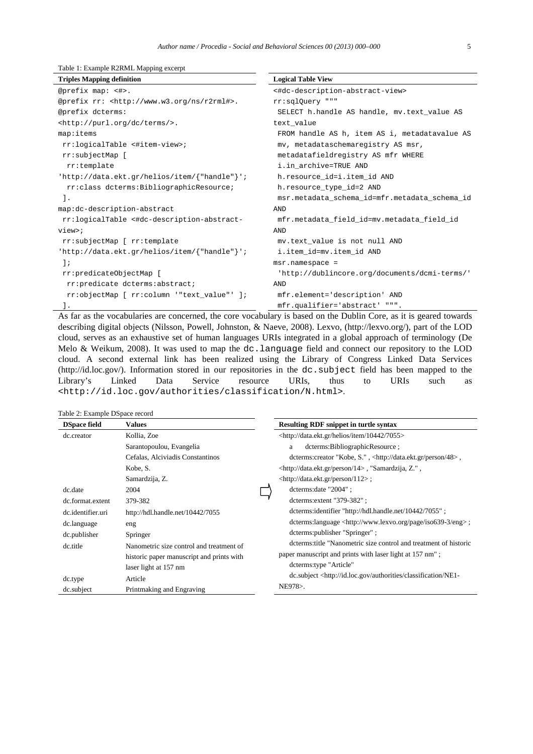Table 1: Example R2RML Mapping excerpt

| <b>Triples Mapping definition</b>                          | <b>Logical Table View</b>                     |
|------------------------------------------------------------|-----------------------------------------------|
| @prefix map: <#>.                                          | <#dc-description-abstract-view>               |
| @prefix rr: <http: ns="" r2rml#="" www.w3.org="">.</http:> | rr:sqlQuery """                               |
| @prefix dcterms:                                           | SELECT h.handle AS handle, mv.text value AS   |
| <http: dc="" purl.org="" terms=""></http:> .               | text value                                    |
| map:items                                                  | FROM handle AS h, item AS i, metadatavalue AS |
| rr:logicalTable <#item-view>;                              | mv, metadataschemaregistry AS msr,            |
| rr:subjectMap [                                            | metadatafieldregistry AS mfr WHERE            |
| rr:template                                                | i.in_archive=TRUE AND                         |
| 'http://data.ekt.gr/helios/item/{"handle"}';               | h.resource_id=i.item_id AND                   |
| rr: class dcterms: BibliographicResource;                  | h.resource_type_id=2 AND                      |
| $\mathbf{1}$ .                                             | msr.metadata_schema_id=mfr.metadata_schema_id |
| map:dc-description-abstract                                | AND                                           |
| rr:logicalTable <#dc-description-abstract-                 | mfr.metadata_field_id=mv.metadata_field_id    |
| view>;                                                     | <b>AND</b>                                    |
| rr:subjectMap [ rr:template                                | mv.text_value is not null AND                 |
| 'http://data.ekt.gr/helios/item/{"handle"}';               | i.item_id=mv.item_id AND                      |
| $\exists$ ;                                                | $msr.name space =$                            |
| rr:predicateObjectMap [                                    | 'http://dublincore.org/documents/dcmi-terms/' |
| rr: predicate dcterms: abstract;                           | AND                                           |
| rr:objectMap [ rr:column '"text_value"' ];                 | mfr.element='description' AND                 |
| 1.                                                         | mfr.qualifier='abstract' """.                 |
|                                                            |                                               |

As far as the vocabularies are concerned, the core vocabulary is based on the Dublin Core, as it is geared towards describing digital objects (Nilsson, Powell, Johnston, & Naeve, 2008). Lexvo, (http://lexvo.org/), part of the LOD cloud, serves as an exhaustive set of human languages URIs integrated in a global approach of terminology (De Melo & Weikum, 2008). It was used to map the dc.language field and connect our repository to the LOD cloud. A second external link has been realized using the Library of Congress Linked Data Services (http://id.loc.gov/). Information stored in our repositories in the dc.subject field has been mapped to the Library's Linked Data Service resource URIs, thus to URIs such as <http://id.loc.gov/authorities/classification/N.html>.

| <b>DSpace field</b> | Values                                    | <b>Resulting RDF</b> snippet in turtle syntax                                            |
|---------------------|-------------------------------------------|------------------------------------------------------------------------------------------|
| dc.creator          | Kollia, Zoe                               | <http: 10442="" 7055="" data.ekt.gr="" helios="" item=""></http:>                        |
|                     | Sarantopoulou, Evangelia                  | dcterms:BibliographicResource;<br>a                                                      |
|                     | Cefalas, Alciviadis Constantinos          | dcterms:creator "Kobe, S.", <http: 48="" data.ekt.gr="" person="">,</http:>              |
|                     | Kobe, S.                                  | <http: 14="" data.ekt.gr="" person="">, "Samardzija, Z.",</http:>                        |
|                     | Samardzija, Z.                            | <http: 112="" data.ekt.gr="" person="">;</http:>                                         |
| dc.date             | 2004                                      | dcterms:date "2004";                                                                     |
| dc.format.extent    | 379-382                                   | dcterms: extent "379-382" ;                                                              |
| dc.identifier.uri   | http://hdl.handle.net/10442/7055          | dcterms:identifier "http://hdl.handle.net/10442/7055";                                   |
| dc.language         | eng                                       | dcterms:language <http: eng="" iso639-3="" page="" www.lexvo.org="">;</http:>            |
| dc.publisher        | Springer                                  | dcterms:publisher "Springer";                                                            |
| dc.title            | Nanometric size control and treatment of  | determs: title "Nanometric size control and treatment of historic                        |
|                     | historic paper manuscript and prints with | paper manuscript and prints with laser light at 157 nm";                                 |
|                     | laser light at 157 nm                     | dcterms:type "Article"                                                                   |
| dc.type             | Article                                   | dc.subject <http: authorities="" classification="" id.loc.gov="" ne1-<="" td=""></http:> |
| dc.subject          | Printmaking and Engraving                 | NE978>.                                                                                  |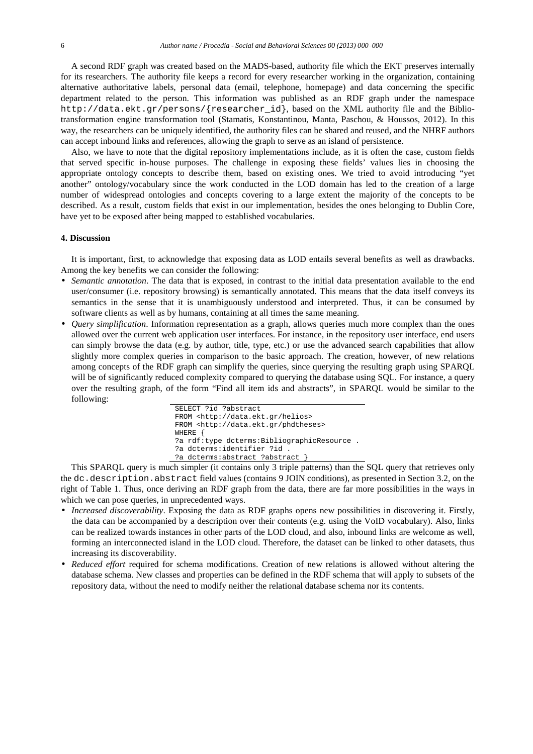A second RDF graph was created based on the MADS-based, authority file which the EKT preserves internally for its researchers. The authority file keeps a record for every researcher working in the organization, containing alternative authoritative labels, personal data (email, telephone, homepage) and data concerning the specific department related to the person. This information was published as an RDF graph under the namespace http://data.ekt.gr/persons/{researcher\_id}, based on the XML authority file and the Bibliotransformation engine transformation tool (Stamatis, Konstantinou, Manta, Paschou, & Houssos, 2012). In this way, the researchers can be uniquely identified, the authority files can be shared and reused, and the NHRF authors can accept inbound links and references, allowing the graph to serve as an island of persistence.

Also, we have to note that the digital repository implementations include, as it is often the case, custom fields that served specific in-house purposes. The challenge in exposing these fields' values lies in choosing the appropriate ontology concepts to describe them, based on existing ones. We tried to avoid introducing "yet another" ontology/vocabulary since the work conducted in the LOD domain has led to the creation of a large number of widespread ontologies and concepts covering to a large extent the majority of the concepts to be described. As a result, custom fields that exist in our implementation, besides the ones belonging to Dublin Core, have yet to be exposed after being mapped to established vocabularies.

#### **4. Discussion**

It is important, first, to acknowledge that exposing data as LOD entails several benefits as well as drawbacks. Among the key benefits we can consider the following:

- *Semantic annotation*. The data that is exposed, in contrast to the initial data presentation available to the end user/consumer (i.e. repository browsing) is semantically annotated. This means that the data itself conveys its semantics in the sense that it is unambiguously understood and interpreted. Thus, it can be consumed by software clients as well as by humans, containing at all times the same meaning.
- *Query simplification*. Information representation as a graph, allows queries much more complex than the ones allowed over the current web application user interfaces. For instance, in the repository user interface, end users can simply browse the data (e.g. by author, title, type, etc.) or use the advanced search capabilities that allow slightly more complex queries in comparison to the basic approach. The creation, however, of new relations among concepts of the RDF graph can simplify the queries, since querying the resulting graph using SPARQL will be of significantly reduced complexity compared to querying the database using SQL. For instance, a query over the resulting graph, of the form "Find all item ids and abstracts", in SPARQL would be similar to the following:

| SELECT ?id ?abstract                             |  |  |
|--------------------------------------------------|--|--|
| FROM <http: data.ekt.gr="" helios=""></http:>    |  |  |
| FROM <http: data.ekt.gr="" phdtheses=""></http:> |  |  |
| WHERE {                                          |  |  |
| ?a rdf:type dcterms: Bibliographic Resource.     |  |  |
| ?a dcterms:identifier ?id .                      |  |  |
| ?a dcterms:abstract ?abstract }                  |  |  |
|                                                  |  |  |

This SPARQL query is much simpler (it contains only 3 triple patterns) than the SQL query that retrieves only the dc.description.abstract field values (contains 9 JOIN conditions), as presented in Section 3.2, on the right of Table 1. Thus, once deriving an RDF graph from the data, there are far more possibilities in the ways in which we can pose queries, in unprecedented ways.

- *Increased discoverability*. Exposing the data as RDF graphs opens new possibilities in discovering it. Firstly, the data can be accompanied by a description over their contents (e.g. using the VoID vocabulary). Also, links can be realized towards instances in other parts of the LOD cloud, and also, inbound links are welcome as well, forming an interconnected island in the LOD cloud. Therefore, the dataset can be linked to other datasets, thus increasing its discoverability.
- *Reduced effort* required for schema modifications. Creation of new relations is allowed without altering the database schema. New classes and properties can be defined in the RDF schema that will apply to subsets of the repository data, without the need to modify neither the relational database schema nor its contents.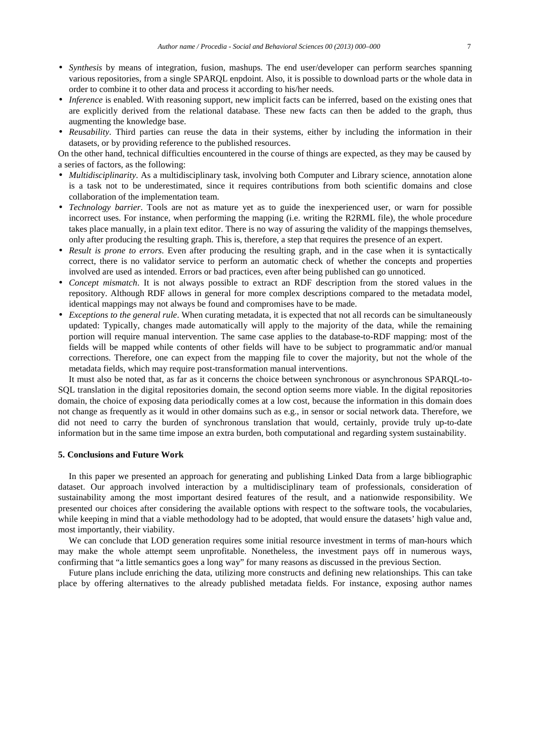- *Synthesis* by means of integration, fusion, mashups. The end user/developer can perform searches spanning various repositories, from a single SPARQL enpdoint. Also, it is possible to download parts or the whole data in order to combine it to other data and process it according to his/her needs.
- *Inference* is enabled. With reasoning support, new implicit facts can be inferred, based on the existing ones that are explicitly derived from the relational database. These new facts can then be added to the graph, thus augmenting the knowledge base.
- *Reusability*. Third parties can reuse the data in their systems, either by including the information in their datasets, or by providing reference to the published resources.

On the other hand, technical difficulties encountered in the course of things are expected, as they may be caused by a series of factors, as the following:

- *Multidisciplinarity*. As a multidisciplinary task, involving both Computer and Library science, annotation alone is a task not to be underestimated, since it requires contributions from both scientific domains and close collaboration of the implementation team.
- *Technology barrier*. Tools are not as mature yet as to guide the inexperienced user, or warn for possible incorrect uses. For instance, when performing the mapping (i.e. writing the R2RML file), the whole procedure takes place manually, in a plain text editor. There is no way of assuring the validity of the mappings themselves, only after producing the resulting graph. This is, therefore, a step that requires the presence of an expert.
- *Result is prone to errors*. Even after producing the resulting graph, and in the case when it is syntactically correct, there is no validator service to perform an automatic check of whether the concepts and properties involved are used as intended. Errors or bad practices, even after being published can go unnoticed.
- *Concept mismatch*. It is not always possible to extract an RDF description from the stored values in the repository. Although RDF allows in general for more complex descriptions compared to the metadata model, identical mappings may not always be found and compromises have to be made.
- *Exceptions to the general rule*. When curating metadata, it is expected that not all records can be simultaneously updated: Typically, changes made automatically will apply to the majority of the data, while the remaining portion will require manual intervention. The same case applies to the database-to-RDF mapping: most of the fields will be mapped while contents of other fields will have to be subject to programmatic and/or manual corrections. Therefore, one can expect from the mapping file to cover the majority, but not the whole of the metadata fields, which may require post-transformation manual interventions.

It must also be noted that, as far as it concerns the choice between synchronous or asynchronous SPARQL-to-SQL translation in the digital repositories domain, the second option seems more viable. In the digital repositories domain, the choice of exposing data periodically comes at a low cost, because the information in this domain does not change as frequently as it would in other domains such as e.g., in sensor or social network data. Therefore, we did not need to carry the burden of synchronous translation that would, certainly, provide truly up-to-date information but in the same time impose an extra burden, both computational and regarding system sustainability.

# **5. Conclusions and Future Work**

In this paper we presented an approach for generating and publishing Linked Data from a large bibliographic dataset. Our approach involved interaction by a multidisciplinary team of professionals, consideration of sustainability among the most important desired features of the result, and a nationwide responsibility. We presented our choices after considering the available options with respect to the software tools, the vocabularies, while keeping in mind that a viable methodology had to be adopted, that would ensure the datasets' high value and, most importantly, their viability.

We can conclude that LOD generation requires some initial resource investment in terms of man-hours which may make the whole attempt seem unprofitable. Nonetheless, the investment pays off in numerous ways, confirming that "a little semantics goes a long way" for many reasons as discussed in the previous Section.

Future plans include enriching the data, utilizing more constructs and defining new relationships. This can take place by offering alternatives to the already published metadata fields. For instance, exposing author names